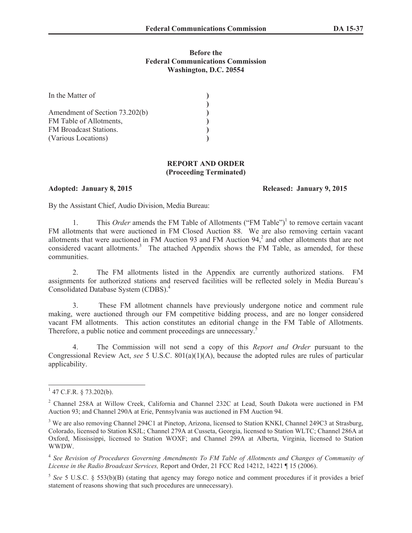### **Before the Federal Communications Commission Washington, D.C. 20554**

| In the Matter of               |  |
|--------------------------------|--|
|                                |  |
| Amendment of Section 73.202(b) |  |
| FM Table of Allotments,        |  |
| FM Broadcast Stations.         |  |
| (Various Locations)            |  |

#### **REPORT AND ORDER (Proceeding Terminated)**

#### **Adopted: January 8, 2015 Released: January 9, 2015**

By the Assistant Chief, Audio Division, Media Bureau:

1. This *Order* amends the FM Table of Allotments ("FM Table")<sup>1</sup> to remove certain vacant FM allotments that were auctioned in FM Closed Auction 88. We are also removing certain vacant allotments that were auctioned in FM Auction 93 and FM Auction  $94<sup>2</sup>$  and other allotments that are not considered vacant allotments.<sup>3</sup> The attached Appendix shows the FM Table, as amended, for these communities.

2. The FM allotments listed in the Appendix are currently authorized stations. FM assignments for authorized stations and reserved facilities will be reflected solely in Media Bureau's Consolidated Database System (CDBS).<sup>4</sup>

3. These FM allotment channels have previously undergone notice and comment rule making, were auctioned through our FM competitive bidding process, and are no longer considered vacant FM allotments. This action constitutes an editorial change in the FM Table of Allotments. Therefore, a public notice and comment proceedings are unnecessary.<sup>5</sup>

4. The Commission will not send a copy of this *Report and Order* pursuant to the Congressional Review Act, *see* 5 U.S.C. 801(a)(1)(A), because the adopted rules are rules of particular applicability.

 $1$  47 C.F.R. § 73.202(b).

<sup>2</sup> Channel 258A at Willow Creek, California and Channel 232C at Lead, South Dakota were auctioned in FM Auction 93; and Channel 290A at Erie, Pennsylvania was auctioned in FM Auction 94.

<sup>&</sup>lt;sup>3</sup> We are also removing Channel 294C1 at Pinetop, Arizona, licensed to Station KNKI, Channel 249C3 at Strasburg, Colorado, licensed to Station KSJL; Channel 279A at Cusseta, Georgia, licensed to Station WLTC; Channel 286A at Oxford, Mississippi, licensed to Station WOXF; and Channel 299A at Alberta, Virginia, licensed to Station WWDW.

<sup>4</sup> *See Revision of Procedures Governing Amendments To FM Table of Allotments and Changes of Community of License in the Radio Broadcast Services,* Report and Order, 21 FCC Rcd 14212, 14221 ¶ 15 (2006).

<sup>5</sup> *See* 5 U.S.C. § 553(b)(B) (stating that agency may forego notice and comment procedures if it provides a brief statement of reasons showing that such procedures are unnecessary).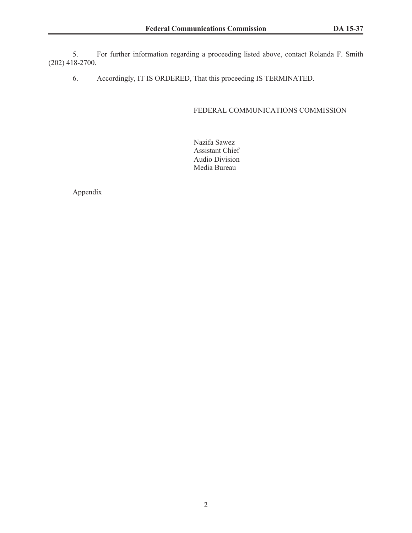5. For further information regarding a proceeding listed above, contact Rolanda F. Smith (202) 418-2700.

6. Accordingly, IT IS ORDERED, That this proceeding IS TERMINATED.

## FEDERAL COMMUNICATIONS COMMISSION

Nazifa Sawez Assistant Chief Audio Division Media Bureau

Appendix